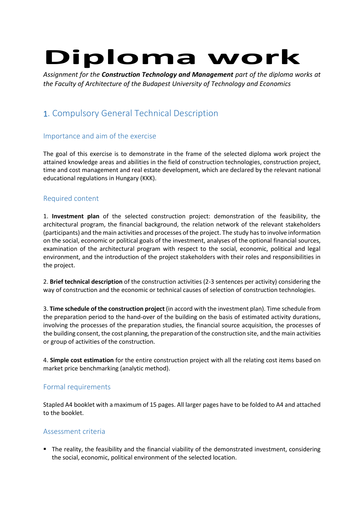# **Diploma work**

*Assignment for the Construction Technology and Management part of the diploma works at the Faculty of Architecture of the Budapest University of Technology and Economics*

## 1. Compulsory General Technical Description

#### Importance and aim of the exercise

The goal of this exercise is to demonstrate in the frame of the selected diploma work project the attained knowledge areas and abilities in the field of construction technologies, construction project, time and cost management and real estate development, which are declared by the relevant national educational regulations in Hungary (KKK).

#### Required content

1. **Investment plan** of the selected construction project: demonstration of the feasibility, the architectural program, the financial background, the relation network of the relevant stakeholders (participants) and the main activities and processes of the project. The study hasto involve information on the social, economic or political goals of the investment, analyses of the optional financial sources, examination of the architectural program with respect to the social, economic, political and legal environment, and the introduction of the project stakeholders with their roles and responsibilities in the project.

2. **Brief technical description** of the construction activities (2-3 sentences per activity) considering the way of construction and the economic or technical causes of selection of construction technologies.

3. **Time schedule of the construction project** (in accord with the investment plan). Time schedule from the preparation period to the hand-over of the building on the basis of estimated activity durations, involving the processes of the preparation studies, the financial source acquisition, the processes of the building consent, the cost planning, the preparation of the construction site, and the main activities or group of activities of the construction.

4. **Simple cost estimation** for the entire construction project with all the relating cost items based on market price benchmarking (analytic method).

#### Formal requirements

Stapled A4 booklet with a maximum of 15 pages. All larger pages have to be folded to A4 and attached to the booklet.

#### Assessment criteria

 The reality, the feasibility and the financial viability of the demonstrated investment, considering the social, economic, political environment of the selected location.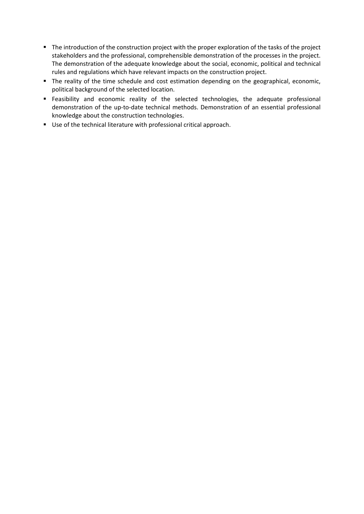- The introduction of the construction project with the proper exploration of the tasks of the project stakeholders and the professional, comprehensible demonstration of the processes in the project. The demonstration of the adequate knowledge about the social, economic, political and technical rules and regulations which have relevant impacts on the construction project.
- The reality of the time schedule and cost estimation depending on the geographical, economic, political background of the selected location.
- Feasibility and economic reality of the selected technologies, the adequate professional demonstration of the up-to-date technical methods. Demonstration of an essential professional knowledge about the construction technologies.
- Use of the technical literature with professional critical approach.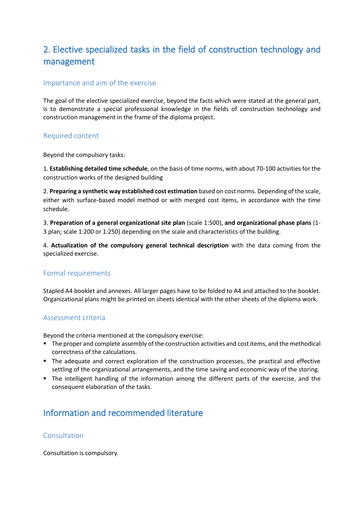## 2. Elective specialized tasks in the field of construction technology and management

#### Importance and aim of the exercise

The goal of the elective specialized exercise, beyond the facts which were stated at the general part, is to demonstrate a special professional knowledge in the fields of construction technology and construction management in the frame of the diploma project.

#### Required content

Beyond the compulsory tasks:

1. **Establishing detailed time schedule**, on the basis of time norms, with about 70-100 activities for the construction works of the designed building

2. **Preparing a synthetic way established cost estimation** based on cost norms. Depending of the scale, either with surface-based model method or with merged cost items, in accordance with the time schedule.

3. **Preparation of a general organizational site plan** (scale 1:500), **and organizational phase plans** (1- 3 plan; scale 1:200 or 1:250) depending on the scale and characteristics of the building.

4. **Actualization of the compulsory general technical description** with the data coming from the specialized exercise.

#### Formal requirements

Stapled A4 booklet and annexes. All larger pages have to be folded to A4 and attached to the booklet. Organizational plans might be printed on sheets identical with the other sheets of the diploma work.

#### Assessment criteria

Beyond the criteria mentioned at the compulsory exercise:

- **The proper and complete assembly of the construction activities and cost items, and the methodical** correctness of the calculations.
- The adequate and correct exploration of the construction processes, the practical and effective settling of the organizational arrangements, and the time saving and economic way of the storing.
- The intelligent handling of the information among the different parts of the exercise, and the consequent elaboration of the tasks.

## Information and recommended literature

#### Consultation

Consultation is compulsory.